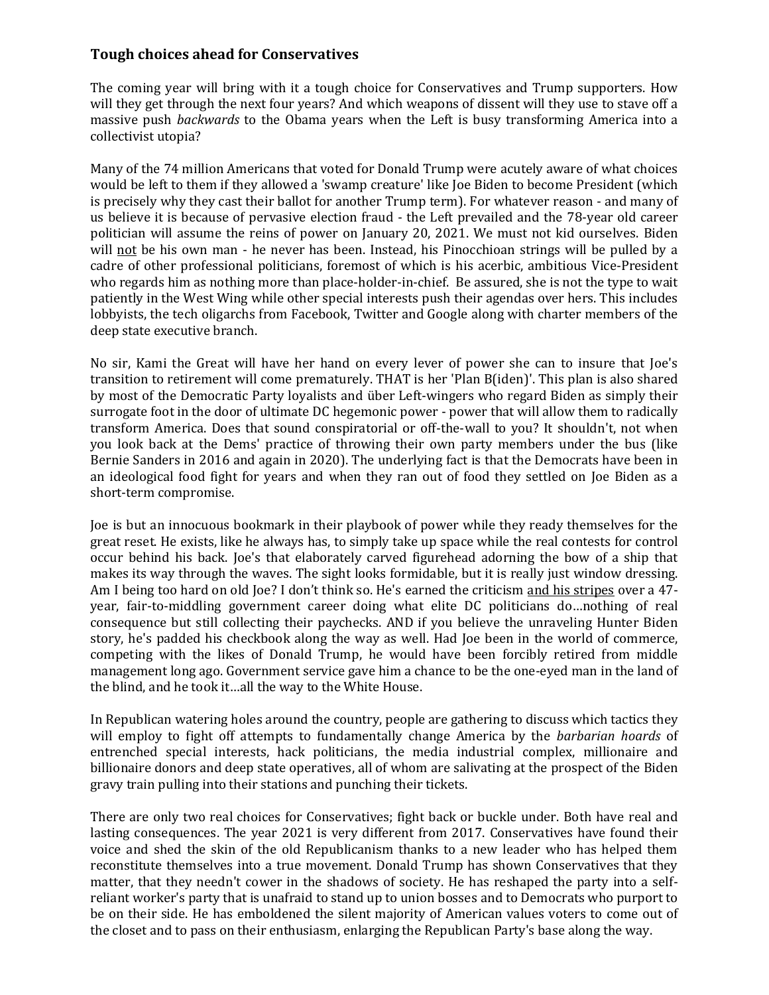## **Tough choices ahead for Conservatives**

The coming year will bring with it a tough choice for Conservatives and Trump supporters. How will they get through the next four years? And which weapons of dissent will they use to stave off a massive push *backwards* to the Obama years when the Left is busy transforming America into a collectivist utopia?

Many of the 74 million Americans that voted for Donald Trump were acutely aware of what choices would be left to them if they allowed a 'swamp creature' like Joe Biden to become President (which is precisely why they cast their ballot for another Trump term). For whatever reason - and many of us believe it is because of pervasive election fraud - the Left prevailed and the 78-year old career politician will assume the reins of power on January 20, 2021. We must not kid ourselves. Biden will not be his own man - he never has been. Instead, his Pinocchioan strings will be pulled by a cadre of other professional politicians, foremost of which is his acerbic, ambitious Vice-President who regards him as nothing more than place-holder-in-chief. Be assured, she is not the type to wait patiently in the West Wing while other special interests push their agendas over hers. This includes lobbyists, the tech oligarchs from Facebook, Twitter and Google along with charter members of the deep state executive branch.

No sir, Kami the Great will have her hand on every lever of power she can to insure that Joe's transition to retirement will come prematurely. THAT is her 'Plan B(iden)'. This plan is also shared by most of the Democratic Party loyalists and über Left-wingers who regard Biden as simply their surrogate foot in the door of ultimate DC hegemonic power - power that will allow them to radically transform America. Does that sound conspiratorial or off-the-wall to you? It shouldn't, not when you look back at the Dems' practice of throwing their own party members under the bus (like Bernie Sanders in 2016 and again in 2020). The underlying fact is that the Democrats have been in an ideological food fight for years and when they ran out of food they settled on Joe Biden as a short-term compromise.

Joe is but an innocuous bookmark in their playbook of power while they ready themselves for the great reset. He exists, like he always has, to simply take up space while the real contests for control occur behind his back. Joe's that elaborately carved figurehead adorning the bow of a ship that makes its way through the waves. The sight looks formidable, but it is really just window dressing. Am I being too hard on old Joe? I don't think so. He's earned the criticism and his stripes over a 47 year, fair-to-middling government career doing what elite DC politicians do…nothing of real consequence but still collecting their paychecks. AND if you believe the unraveling Hunter Biden story, he's padded his checkbook along the way as well. Had Joe been in the world of commerce, competing with the likes of Donald Trump, he would have been forcibly retired from middle management long ago. Government service gave him a chance to be the one-eyed man in the land of the blind, and he took it…all the way to the White House.

In Republican watering holes around the country, people are gathering to discuss which tactics they will employ to fight off attempts to fundamentally change America by the *barbarian hoards* of entrenched special interests, hack politicians, the media industrial complex, millionaire and billionaire donors and deep state operatives, all of whom are salivating at the prospect of the Biden gravy train pulling into their stations and punching their tickets.

There are only two real choices for Conservatives; fight back or buckle under. Both have real and lasting consequences. The year 2021 is very different from 2017. Conservatives have found their voice and shed the skin of the old Republicanism thanks to a new leader who has helped them reconstitute themselves into a true movement. Donald Trump has shown Conservatives that they matter, that they needn't cower in the shadows of society. He has reshaped the party into a selfreliant worker's party that is unafraid to stand up to union bosses and to Democrats who purport to be on their side. He has emboldened the silent majority of American values voters to come out of the closet and to pass on their enthusiasm, enlarging the Republican Party's base along the way.